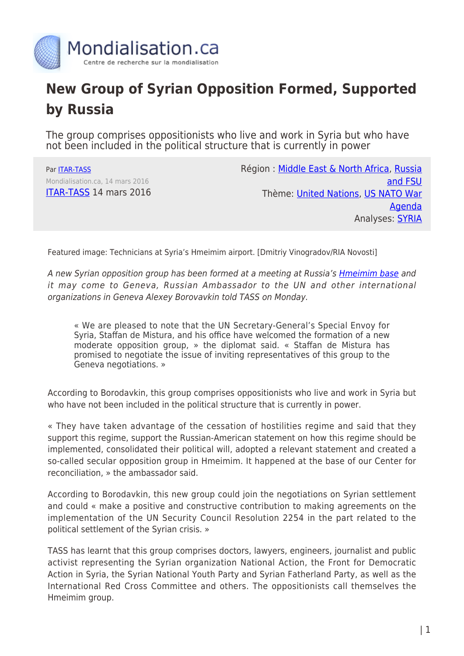

## **New Group of Syrian Opposition Formed, Supported by Russia**

The group comprises oppositionists who live and work in Syria but who have not been included in the political structure that is currently in power

Par [ITAR-TASS](https://www.mondialisation.ca/author/itar-tass) Mondialisation.ca, 14 mars 2016 [ITAR-TASS](http://tass.ru/en/world/862052) 14 mars 2016 Région : [Middle East & North Africa](https://www.mondialisation.ca/region/middle-east), [Russia](https://www.mondialisation.ca/region/russia-and-fsu) [and FSU](https://www.mondialisation.ca/region/russia-and-fsu) Thème: [United Nations,](https://www.mondialisation.ca/theme/united-nations) [US NATO War](https://www.mondialisation.ca/theme/us-nato-war-agenda) [Agenda](https://www.mondialisation.ca/theme/us-nato-war-agenda) Analyses: [SYRIA](https://www.mondialisation.ca/indepthreport/syria-nato-s-next-war)

Featured image: Technicians at Syria's Hmeimim airport. [Dmitriy Vinogradov/RIA Novosti]

A new Syrian opposition group has been formed at a meeting at Russia's **Hmeimim base** and it may come to Geneva, Russian Ambassador to the UN and other international organizations in Geneva Alexey Borovavkin told TASS on Monday.

« We are pleased to note that the UN Secretary-General's Special Envoy for Syria, Staffan de Mistura, and his office have welcomed the formation of a new moderate opposition group, » the diplomat said. « Staffan de Mistura has promised to negotiate the issue of inviting representatives of this group to the Geneva negotiations. »

According to Borodavkin, this group comprises oppositionists who live and work in Syria but who have not been included in the political structure that is currently in power.

« They have taken advantage of the cessation of hostilities regime and said that they support this regime, support the Russian-American statement on how this regime should be implemented, consolidated their political will, adopted a relevant statement and created a so-called secular opposition group in Hmeimim. It happened at the base of our Center for reconciliation, » the ambassador said.

According to Borodavkin, this new group could join the negotiations on Syrian settlement and could « make a positive and constructive contribution to making agreements on the implementation of the UN Security Council Resolution 2254 in the part related to the political settlement of the Syrian crisis. »

TASS has learnt that this group comprises doctors, lawyers, engineers, journalist and public activist representing the Syrian organization National Action, the Front for Democratic Action in Syria, the Syrian National Youth Party and Syrian Fatherland Party, as well as the International Red Cross Committee and others. The oppositionists call themselves the Hmeimim group.